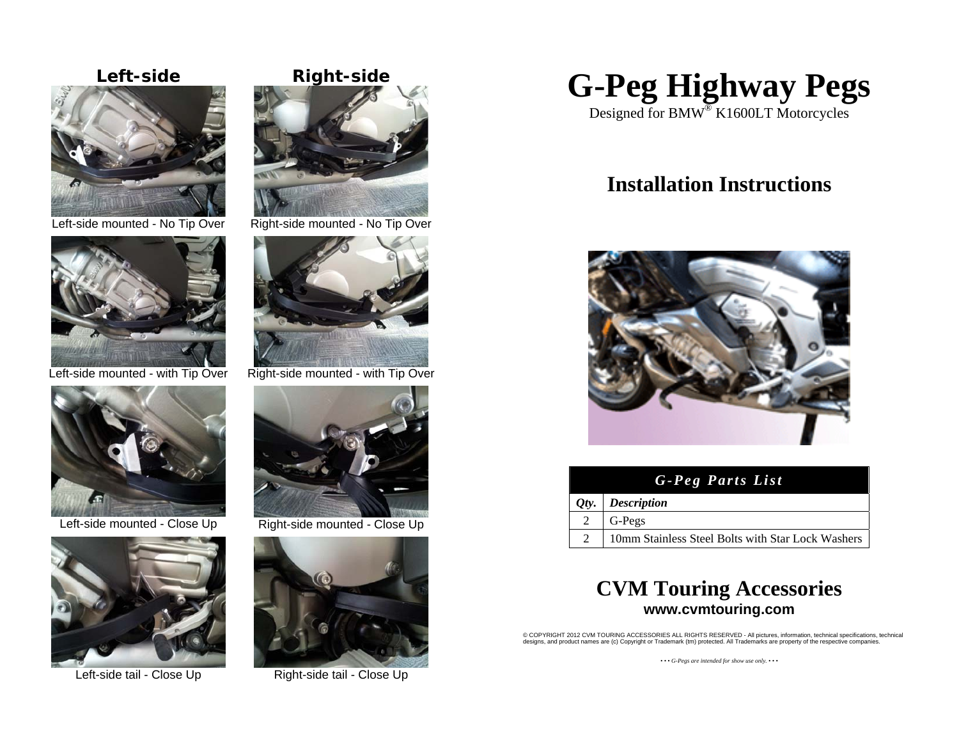





Left-side mounted - Close Up Right-side mounted - Close Up





Left-side mounted - No Tip Over Right-side mounted - No Tip Over



Left-side mounted - with Tip Over Right-side mounted - with Tip Over





Left-side tail - Close Up Right-side tail - Close Up



Designed for BMW® K1600LT Motorcycles

# **Installation Instructions**



| G-Peg Parts List |                                                   |
|------------------|---------------------------------------------------|
|                  | $Qty.$ Description                                |
| 2                | G-Pegs                                            |
|                  | 10mm Stainless Steel Bolts with Star Lock Washers |

## **CVM Touring Accessories www.cvmtouring.com**

© COPYRIGHT 2012 CVM TOURING ACCESSORIES ALL RIGHTS RESERVED - All pictures, information, technical specifications, technical designs, and product names are (c) Copyright or Trademark (tm) protected. All Trademarks are property of the respective companies.

*• • • G-Pegs are intended for show use only. • • •*